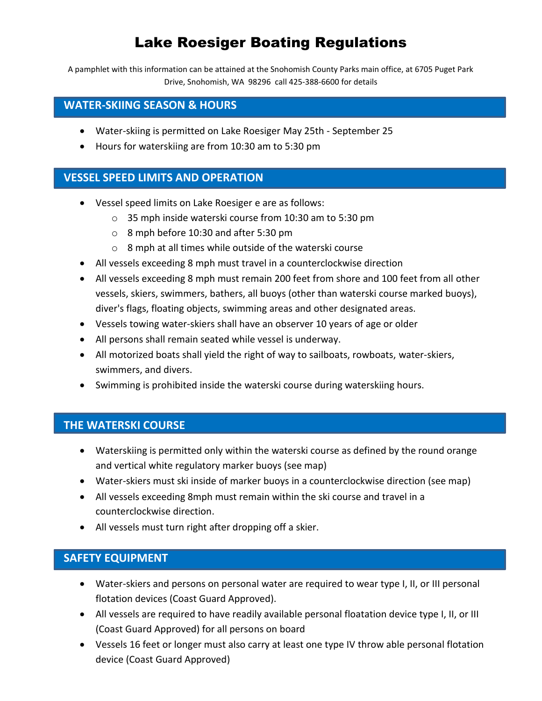# Lake Roesiger Boating Regulations

A pamphlet with this information can be attained at the Snohomish County Parks main office, at 6705 Puget Park Drive, Snohomish, WA 98296 call 425-388-6600 for details

### **WATER-SKIING SEASON & HOURS**

- Water-skiing is permitted on Lake Roesiger May 25th September 25
- Hours for waterskiing are from 10:30 am to 5:30 pm

# **VESSEL SPEED LIMITS AND OPERATION**

- Vessel speed limits on Lake Roesiger e are as follows:
	- o 35 mph inside waterski course from 10:30 am to 5:30 pm
	- o 8 mph before 10:30 and after 5:30 pm
	- o 8 mph at all times while outside of the waterski course
- All vessels exceeding 8 mph must travel in a counterclockwise direction
- All vessels exceeding 8 mph must remain 200 feet from shore and 100 feet from all other vessels, skiers, swimmers, bathers, all buoys (other than waterski course marked buoys), diver's flags, floating objects, swimming areas and other designated areas.
- Vessels towing water-skiers shall have an observer 10 years of age or older
- All persons shall remain seated while vessel is underway.
- All motorized boats shall yield the right of way to sailboats, rowboats, water-skiers, swimmers, and divers.
- Swimming is prohibited inside the waterski course during waterskiing hours.

# **THE WATERSKI COURSE**

- Waterskiing is permitted only within the waterski course as defined by the round orange and vertical white regulatory marker buoys (see map)
- Water-skiers must ski inside of marker buoys in a counterclockwise direction (see map)
- All vessels exceeding 8mph must remain within the ski course and travel in a counterclockwise direction.
- All vessels must turn right after dropping off a skier.

#### **SAFETY EQUIPMENT**

- Water-skiers and persons on personal water are required to wear type I, II, or III personal flotation devices (Coast Guard Approved).
- All vessels are required to have readily available personal floatation device type I, II, or III (Coast Guard Approved) for all persons on board
- Vessels 16 feet or longer must also carry at least one type IV throw able personal flotation device (Coast Guard Approved)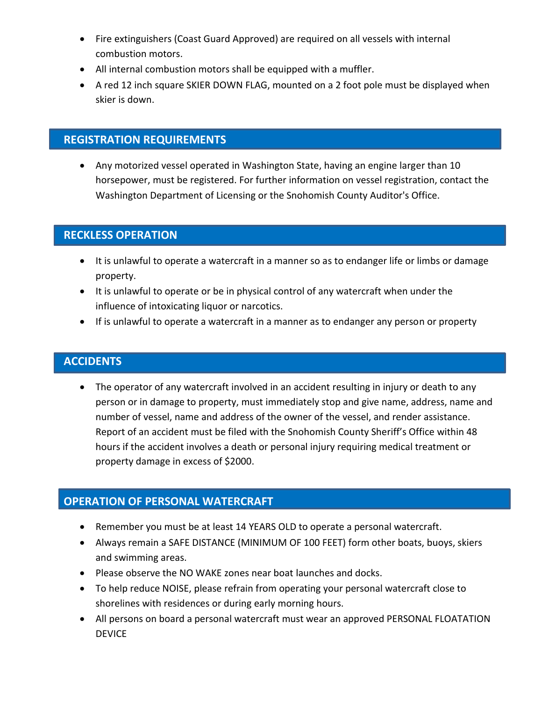- Fire extinguishers (Coast Guard Approved) are required on all vessels with internal combustion motors.
- All internal combustion motors shall be equipped with a muffler.
- A red 12 inch square SKIER DOWN FLAG, mounted on a 2 foot pole must be displayed when skier is down.

# **REGISTRATION REQUIREMENTS**

 Any motorized vessel operated in Washington State, having an engine larger than 10 horsepower, must be registered. For further information on vessel registration, contact the Washington Department of Licensing or the Snohomish County Auditor's Office.

# **RECKLESS OPERATION**

- It is unlawful to operate a watercraft in a manner so as to endanger life or limbs or damage property.
- It is unlawful to operate or be in physical control of any watercraft when under the influence of intoxicating liquor or narcotics.
- If is unlawful to operate a watercraft in a manner as to endanger any person or property

#### **ACCIDENTS**

• The operator of any watercraft involved in an accident resulting in injury or death to any person or in damage to property, must immediately stop and give name, address, name and number of vessel, name and address of the owner of the vessel, and render assistance. Report of an accident must be filed with the Snohomish County Sheriff's Office within 48 hours if the accident involves a death or personal injury requiring medical treatment or property damage in excess of \$2000.

#### **OPERATION OF PERSONAL WATERCRAFT**

- Remember you must be at least 14 YEARS OLD to operate a personal watercraft.
- Always remain a SAFE DISTANCE (MINIMUM OF 100 FEET) form other boats, buoys, skiers and swimming areas.
- Please observe the NO WAKE zones near boat launches and docks.
- To help reduce NOISE, please refrain from operating your personal watercraft close to shorelines with residences or during early morning hours.
- All persons on board a personal watercraft must wear an approved PERSONAL FLOATATION DEVICE